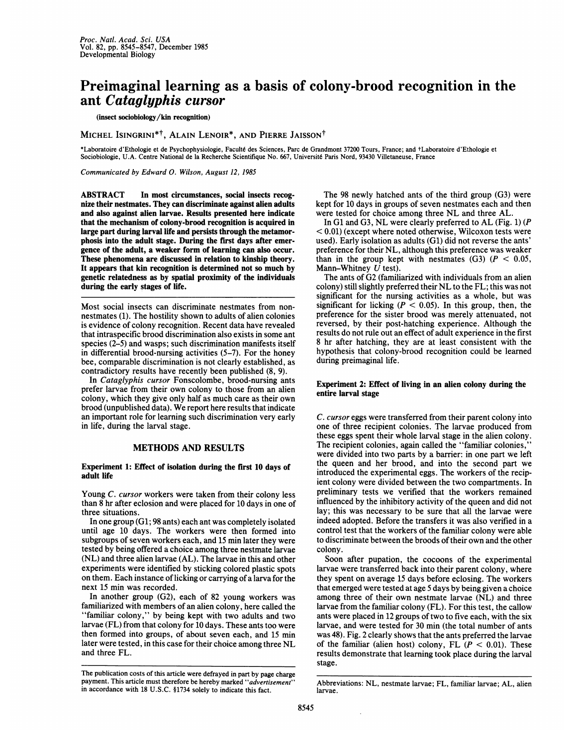# Preimaginal learning as a basis of colony-brood recognition in the ant Cataglyphis cursor

## (insect sociobiology/kin recognition)

MICHEL ISINGRINI<sup>\*†</sup>, ALAIN LENOIR<sup>\*</sup>, AND PIERRE JAISSON<sup>†</sup>

\*Laboratoire d'Ethologie et de Psychophysiologie, Faculté des Sciences, Parc de Grandmont 37200 Tours, France; and +Laboratoire d'Ethologie et Sociobiologie, U.A. Centre National de la Recherche Scientifique No. 667, Université Paris Nord, 93430 Villetaneuse, France

Communicated by Edward 0. Wilson, August 12, 1985

ABSTRACT In most circumstances, social insects recognize their nestmates. They can discriminate against alien adults and also against alien larvae. Results presented here indicate that the mechanism of colony-brood recognition is acquired in large part during larval life and persists through the metamorphosis into the adult stage. During the first days after emergence of the adult, a weaker form of learning can also occur. These phenomena are discussed in relation to kinship theory. It appears that kin recognition is determined not so much by genetic relatedness as by spatial proximity of the individuals during the early stages of life.

Most social insects can discriminate nestmates from nonnestmates (1). The hostility shown to adults of alien colonies is evidence of colony recognition. Recent data have revealed that intraspecific brood discrimination also exists in some ant species (2-5) and wasps; such discrimination manifests itself in differential brood-nursing activities (5-7). For the honey bee, comparable discrimination is not clearly established, as contradictory results have recently been published (8, 9).

In Cataglyphis cursor Fonscolombe, brood-nursing ants prefer larvae from their own colony to those from an alien colony, which they give only half as much care as their own brood (unpublished data). We report here results that indicate an important role for learning such discrimination very early in life, during the larval stage.

## METHODS AND RESULTS

### Experiment 1: Effect of isolation during the first 10 days of adult life

Young C. cursor workers were taken from their colony less than 8 hr after eclosion and were placed for 10 days in one of three situations.

In one group (Gi; 98 ants) each ant was completely isolated until age 10 days. The workers were then formed into subgroups of seven workers each, and 15 min later they were tested by being offered a choice among three nestmate larvae (NL) and three alien larvae (AL). The larvae in this and other experiments were identified by sticking colored plastic spots on them. Each instance of licking or carrying of a larva for the next 15 min was recorded.

In another group (G2), each of 82 young workers was familiarized with members of an alien colony, here called the "familiar colony," by being kept with two adults and two larvae (FL) from that colony for 10 days. These ants too were then formed into groups, of about seven each, and 15 min later were tested, in this case for their choice among three NL and three FL.

The 98 newly hatched ants of the third group (G3) were kept for 10 days in groups of seven nestmates each and then were tested for choice among three NL and three AL.

In G1 and G3, NL were clearly preferred to AL (Fig. 1) (P  $< 0.01$ ) (except where noted otherwise, Wilcoxon tests were used). Early isolation as adults (G1) did not reverse the ants' preference for their NL, although this preference was weaker than in the group kept with nestmates  $(G3)$  ( $P < 0.05$ , Mann-Whitney  $U$  test).

The ants of G2 (familiarized with individuals from an alien colony) still slightly preferred their NL to the FL; this was not significant for the nursing activities as a whole, but was significant for licking ( $P < 0.05$ ). In this group, then, the preference for the sister brood was merely attenuated, not reversed, by their post-hatching experience. Although the results do not rule out an effect of adult experience in the first 8 hr after hatching, they are at least consistent with the hypothesis that colony-brood recognition could be learned during preimaginal life.

#### Experiment 2: Effect of living in an alien colony during the entire larval stage

C. cursor eggs were transferred from their parent colony into one of three recipient colonies. The larvae produced from these eggs spent their whole larval stage in the alien colony. The recipient colonies, again called the "familiar colonies," were divided into two parts by a barrier: in one part we left the queen and her brood, and into the second part we introduced the experimental eggs. The workers of the recipient colony were divided between the two compartments. In preliminary tests we verified that the workers remained influenced by the inhibitory activity of the queen and did not lay; this was necessary to be sure that all the larvae were indeed adopted. Before the transfers it was also verified in a control test that the workers of the familiar colony were able to discriminate between the broods of their own and the other colony.

Soon after pupation, the cocoons of the experimental larvae were transferred back into their parent colony, where they spent on average 15 days before eclosing. The workers that emerged were tested at age 5 days by being given a choice among three of their own nestmate larvae (NL) and three larvae from the familiar colony (FL). For this test, the callow ants were placed in 12 groups of two to five each, with the six larvae, and were tested for 30 min (the total number of ants was 48). Fig. 2 clearly shows that the ants preferred the larvae of the familiar (alien host) colony, FL  $(P < 0.01)$ . These results demonstrate that learning took place during the larval stage.

The publication costs of this article were defrayed in part by page charge payment. This article must therefore be hereby marked "advertisement" in accordance with 18 U.S.C. §1734 solely to indicate this fact.

Abbreviations: NL, nestmate larvae; FL, familiar larvae; AL, alien larvae.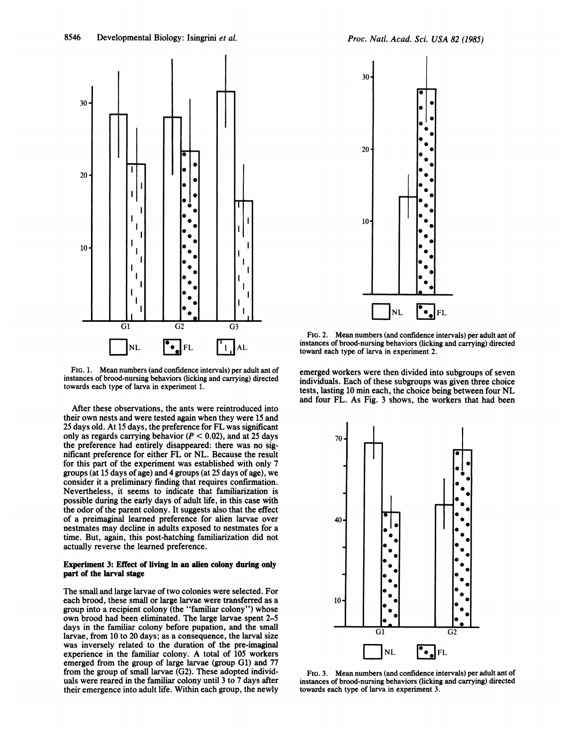

FIG. 1. Mean numbers (and confidence intervals) per adult ant of instances of brood-nursing behaviors (licking and carrying) directed towards each type of larva in experiment 1.

After these observations, the ants were reintroduced into their own nests and were tested again when they were 15 and 25 days old. At <sup>15</sup> days, the preference for FL was significant only as regards carrying behavior ( $P < 0.02$ ), and at 25 days the preference had entirely disappeared: there was no significant preference for either FL or NL. Because the result for this part of the experiment was established with only 7 groups (at 15 days of age) and 4 groups (at 25 days of age), we consider it a preliminary finding that requires confirmation. Nevertheless, it seems to indicate that familiarization is possible during the early days of adult life, in this case with the odor of the parent colony. It suggests also that the effect of a preimaginal learned preference for alien larvae over nestmates may decline in adults exposed to nestmates for a time. But, again, this post-hatching familiarization did not actually reverse the learned preference.

### Experiment 3: Effect of living in an alien colony during only part of the larval stage

The small and large larvae of two colonies were selected. For each brood, these small or large larvae were transferred as a group into a recipient colony (the "familiar colony") whose own brood had been eliminated. The large larvae spent 2-5 days in the familiar colony before pupation, and the small larvae, from 10 to 20 days; as a consequence, the larval size was inversely related to the duration of the pre-imaginal experience in the familiar colony. A total of <sup>105</sup> workers emerged from the group of large larvae (group Gi) and 77 from the group of small larvae (G2). These adopted individuals were reared in the familiar colony until 3 to 7 days after their emergence into adult life. Within each group, the newly



FIG. 2. Mean numbers (and confidence intervals) per adult ant of instances of brood-nursing behaviors (licking and carrying) directed toward each type of larva in experiment 2.

emerged workers were then divided into subgroups of seven individuals. Each of these subgroups was given three choice tests, lasting <sup>10</sup> min each, the choice being between four NL and four FL. As Fig. <sup>3</sup> shows, the workers that had been



FIG. 3. Mean numbers (and confidence intervals) per adult ant of instances of brood-nursing behaviors (licking and carrying) directed towards each type of larva in experiment 3.